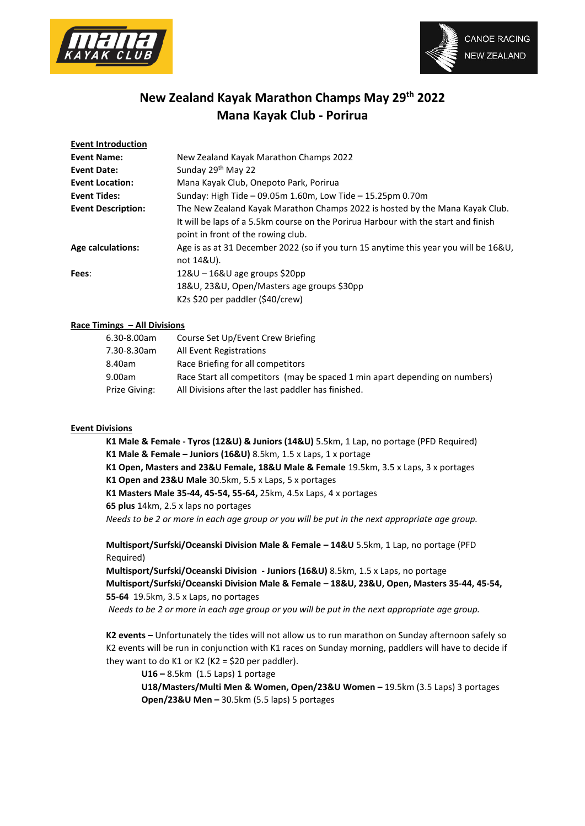



# **New Zealand Kayak Marathon Champs May 29th 2022 Mana Kayak Club - Porirua**

| <b>Event Introduction</b>                                        |                                                                                                                                                                                                          |
|------------------------------------------------------------------|----------------------------------------------------------------------------------------------------------------------------------------------------------------------------------------------------------|
| <b>Event Name:</b>                                               | New Zealand Kayak Marathon Champs 2022                                                                                                                                                                   |
| <b>Event Date:</b>                                               | Sunday 29 <sup>th</sup> May 22                                                                                                                                                                           |
| Mana Kayak Club, Onepoto Park, Porirua<br><b>Event Location:</b> |                                                                                                                                                                                                          |
| <b>Event Tides:</b>                                              | Sunday: High Tide - 09.05m 1.60m, Low Tide - 15.25pm 0.70m                                                                                                                                               |
| <b>Event Description:</b>                                        | The New Zealand Kayak Marathon Champs 2022 is hosted by the Mana Kayak Club.<br>It will be laps of a 5.5km course on the Porirua Harbour with the start and finish<br>point in front of the rowing club. |
| <b>Age calculations:</b>                                         | Age is as at 31 December 2022 (so if you turn 15 anytime this year you will be 16&U,<br>not 14&U).                                                                                                       |
| Fees:                                                            | $128U - 168U$ age groups \$20pp<br>18&U, 23&U, Open/Masters age groups \$30pp<br>K2s \$20 per paddler (\$40/crew)                                                                                        |

#### **Race Timings – All Divisions**

| 6.30-8.00am   | Course Set Up/Event Crew Briefing                                           |
|---------------|-----------------------------------------------------------------------------|
| 7.30-8.30am   | All Event Registrations                                                     |
| 8.40am        | Race Briefing for all competitors                                           |
| 9.00am        | Race Start all competitors (may be spaced 1 min apart depending on numbers) |
| Prize Giving: | All Divisions after the last paddler has finished.                          |
|               |                                                                             |

#### **Event Divisions**

**K1 Male & Female - Tyros (12&U) & Juniors (14&U)** 5.5km, 1 Lap, no portage (PFD Required) **K1 Male & Female – Juniors (16&U)** 8.5km, 1.5 x Laps, 1 x portage

**K1 Open, Masters and 23&U Female, 18&U Male & Female** 19.5km, 3.5 x Laps, 3 x portages

**K1 Open and 23&U Male** 30.5km, 5.5 x Laps, 5 x portages

**K1 Masters Male 35-44, 45-54, 55-64,** 25km, 4.5x Laps, 4 x portages

**65 plus** 14km, 2.5 x laps no portages

*Needs to be 2 or more in each age group or you will be put in the next appropriate age group.* 

**Multisport/Surfski/Oceanski Division Male & Female – 14&U** 5.5km, 1 Lap, no portage (PFD Required)

**Multisport/Surfski/Oceanski Division - Juniors (16&U)** 8.5km, 1.5 x Laps, no portage **Multisport/Surfski/Oceanski Division Male & Female – 18&U, 23&U, Open, Masters 35-44, 45-54, 55-64** 19.5km, 3.5 x Laps, no portages

*Needs to be 2 or more in each age group or you will be put in the next appropriate age group.* 

**K2 events –** Unfortunately the tides will not allow us to run marathon on Sunday afternoon safely so K2 events will be run in conjunction with K1 races on Sunday morning, paddlers will have to decide if they want to do K1 or K2 (K2 = \$20 per paddler).

**U16 –** 8.5km (1.5 Laps) 1 portage

**U18/Masters/Multi Men & Women, Open/23&U Women –** 19.5km (3.5 Laps) 3 portages **Open/23&U Men –** 30.5km (5.5 laps) 5 portages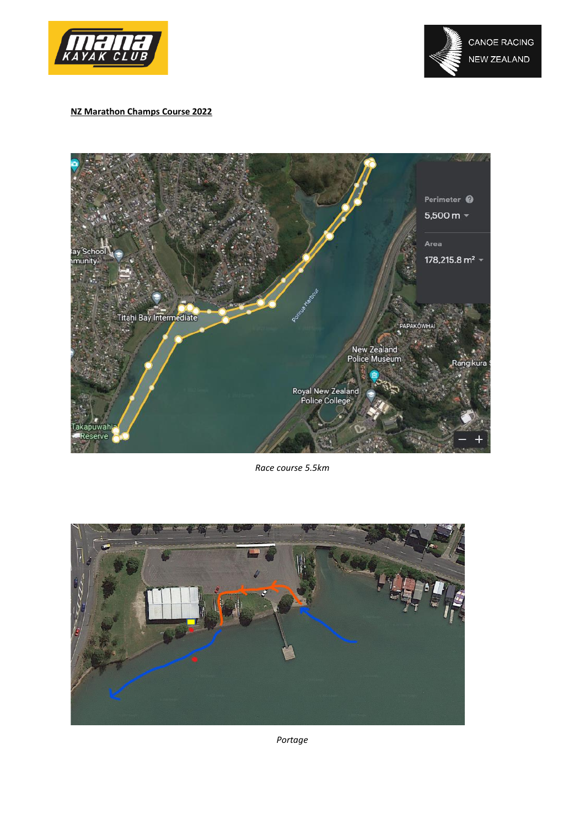

# **NZ Marathon Champs Course 2022**



*Race course 5.5km*



*Portage*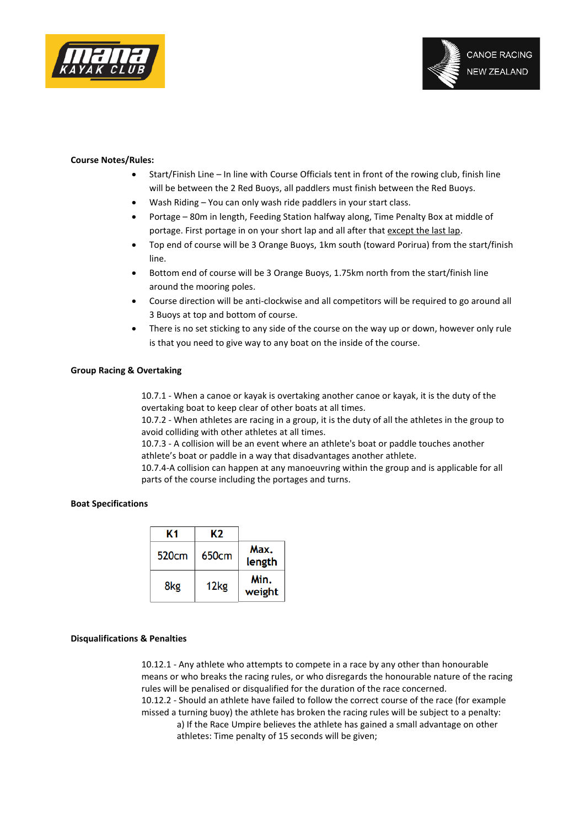

#### **Course Notes/Rules:**

- Start/Finish Line In line with Course Officials tent in front of the rowing club, finish line will be between the 2 Red Buoys, all paddlers must finish between the Red Buoys.
- Wash Riding You can only wash ride paddlers in your start class.
- Portage 80m in length, Feeding Station halfway along, Time Penalty Box at middle of portage. First portage in on your short lap and all after that except the last lap.
- Top end of course will be 3 Orange Buoys, 1km south (toward Porirua) from the start/finish line.
- Bottom end of course will be 3 Orange Buoys, 1.75km north from the start/finish line around the mooring poles.
- Course direction will be anti-clockwise and all competitors will be required to go around all 3 Buoys at top and bottom of course.
- There is no set sticking to any side of the course on the way up or down, however only rule is that you need to give way to any boat on the inside of the course.

#### **Group Racing & Overtaking**

10.7.1 - When a canoe or kayak is overtaking another canoe or kayak, it is the duty of the overtaking boat to keep clear of other boats at all times.

10.7.2 - When athletes are racing in a group, it is the duty of all the athletes in the group to avoid colliding with other athletes at all times.

10.7.3 - A collision will be an event where an athlete's boat or paddle touches another athlete's boat or paddle in a way that disadvantages another athlete.

10.7.4-A collision can happen at any manoeuvring within the group and is applicable for all parts of the course including the portages and turns.

#### **Boat Specifications**

|                | K2               | Κ1                |
|----------------|------------------|-------------------|
| Max.<br>length | 650cm            | 520 <sub>cm</sub> |
| Min.<br>weight | 12 <sub>kg</sub> | 8kg               |

# **Disqualifications & Penalties**

10.12.1 - Any athlete who attempts to compete in a race by any other than honourable means or who breaks the racing rules, or who disregards the honourable nature of the racing rules will be penalised or disqualified for the duration of the race concerned. 10.12.2 - Should an athlete have failed to follow the correct course of the race (for example missed a turning buoy) the athlete has broken the racing rules will be subject to a penalty: a) If the Race Umpire believes the athlete has gained a small advantage on other athletes: Time penalty of 15 seconds will be given;